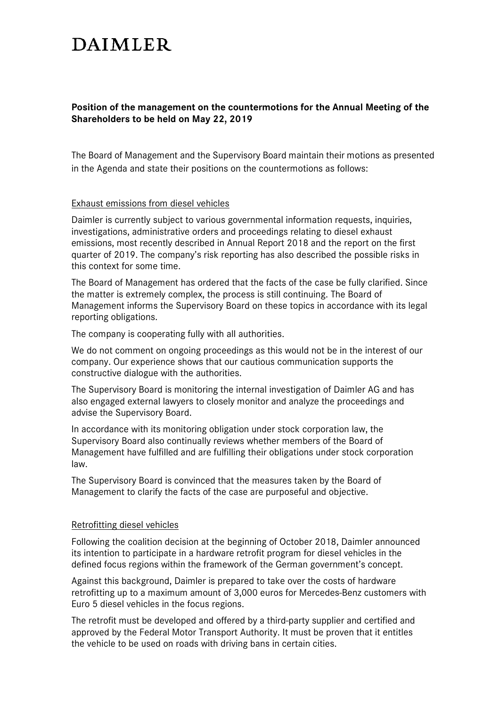# **DAIMLER**

# **Position of the management on the countermotions for the Annual Meeting of the Shareholders to be held on May 22, 2019**

The Board of Management and the Supervisory Board maintain their motions as presented in the Agenda and state their positions on the countermotions as follows:

## Exhaust emissions from diesel vehicles

Daimler is currently subject to various governmental information requests, inquiries, investigations, administrative orders and proceedings relating to diesel exhaust emissions, most recently described in Annual Report 2018 and the report on the first quarter of 2019. The company's risk reporting has also described the possible risks in this context for some time.

The Board of Management has ordered that the facts of the case be fully clarified. Since the matter is extremely complex, the process is still continuing. The Board of Management informs the Supervisory Board on these topics in accordance with its legal reporting obligations.

The company is cooperating fully with all authorities.

We do not comment on ongoing proceedings as this would not be in the interest of our company. Our experience shows that our cautious communication supports the constructive dialogue with the authorities.

The Supervisory Board is monitoring the internal investigation of Daimler AG and has also engaged external lawyers to closely monitor and analyze the proceedings and advise the Supervisory Board.

In accordance with its monitoring obligation under stock corporation law, the Supervisory Board also continually reviews whether members of the Board of Management have fulfilled and are fulfilling their obligations under stock corporation law.

The Supervisory Board is convinced that the measures taken by the Board of Management to clarify the facts of the case are purposeful and objective.

## Retrofitting diesel vehicles

Following the coalition decision at the beginning of October 2018, Daimler announced its intention to participate in a hardware retrofit program for diesel vehicles in the defined focus regions within the framework of the German government's concept.

Against this background, Daimler is prepared to take over the costs of hardware retrofitting up to a maximum amount of 3,000 euros for Mercedes-Benz customers with Euro 5 diesel vehicles in the focus regions.

The retrofit must be developed and offered by a third-party supplier and certified and approved by the Federal Motor Transport Authority. It must be proven that it entitles the vehicle to be used on roads with driving bans in certain cities.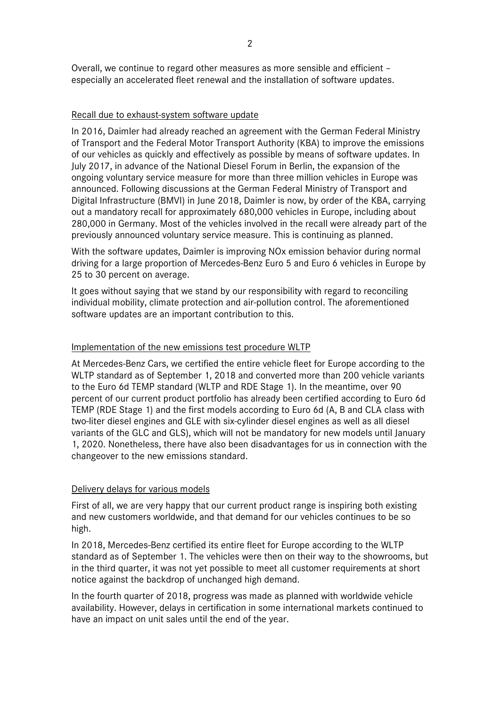Overall, we continue to regard other measures as more sensible and efficient – especially an accelerated fleet renewal and the installation of software updates.

## Recall due to exhaust-system software update

In 2016, Daimler had already reached an agreement with the German Federal Ministry of Transport and the Federal Motor Transport Authority (KBA) to improve the emissions of our vehicles as quickly and effectively as possible by means of software updates. In July 2017, in advance of the National Diesel Forum in Berlin, the expansion of the ongoing voluntary service measure for more than three million vehicles in Europe was announced. Following discussions at the German Federal Ministry of Transport and Digital Infrastructure (BMVI) in June 2018, Daimler is now, by order of the KBA, carrying out a mandatory recall for approximately 680,000 vehicles in Europe, including about 280,000 in Germany. Most of the vehicles involved in the recall were already part of the previously announced voluntary service measure. This is continuing as planned.

With the software updates, Daimler is improving NOx emission behavior during normal driving for a large proportion of Mercedes-Benz Euro 5 and Euro 6 vehicles in Europe by 25 to 30 percent on average.

It goes without saying that we stand by our responsibility with regard to reconciling individual mobility, climate protection and air-pollution control. The aforementioned software updates are an important contribution to this.

## Implementation of the new emissions test procedure WLTP

At Mercedes-Benz Cars, we certified the entire vehicle fleet for Europe according to the WLTP standard as of September 1, 2018 and converted more than 200 vehicle variants to the Euro 6d TEMP standard (WLTP and RDE Stage 1). In the meantime, over 90 percent of our current product portfolio has already been certified according to Euro 6d TEMP (RDE Stage 1) and the first models according to Euro 6d (A, B and CLA class with two-liter diesel engines and GLE with six-cylinder diesel engines as well as all diesel variants of the GLC and GLS), which will not be mandatory for new models until January 1, 2020. Nonetheless, there have also been disadvantages for us in connection with the changeover to the new emissions standard.

### Delivery delays for various models

First of all, we are very happy that our current product range is inspiring both existing and new customers worldwide, and that demand for our vehicles continues to be so high.

In 2018, Mercedes-Benz certified its entire fleet for Europe according to the WLTP standard as of September 1. The vehicles were then on their way to the showrooms, but in the third quarter, it was not yet possible to meet all customer requirements at short notice against the backdrop of unchanged high demand.

In the fourth quarter of 2018, progress was made as planned with worldwide vehicle availability. However, delays in certification in some international markets continued to have an impact on unit sales until the end of the year.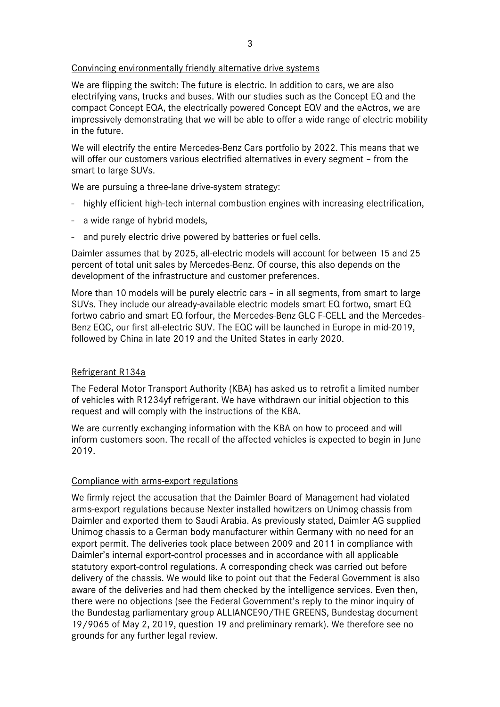# Convincing environmentally friendly alternative drive systems

We are flipping the switch: The future is electric. In addition to cars, we are also electrifying vans, trucks and buses. With our studies such as the Concept EQ and the compact Concept EQA, the electrically powered Concept EQV and the eActros, we are impressively demonstrating that we will be able to offer a wide range of electric mobility in the future.

We will electrify the entire Mercedes-Benz Cars portfolio by 2022. This means that we will offer our customers various electrified alternatives in every segment – from the smart to large SUVs.

We are pursuing a three-lane drive-system strategy:

- highly efficient high-tech internal combustion engines with increasing electrification,
- a wide range of hybrid models,
- and purely electric drive powered by batteries or fuel cells.

Daimler assumes that by 2025, all-electric models will account for between 15 and 25 percent of total unit sales by Mercedes-Benz. Of course, this also depends on the development of the infrastructure and customer preferences.

More than 10 models will be purely electric cars – in all segments, from smart to large SUVs. They include our already-available electric models smart EQ fortwo, smart EQ fortwo cabrio and smart EQ forfour, the Mercedes-Benz GLC F-CELL and the Mercedes-Benz EQC, our first all-electric SUV. The EQC will be launched in Europe in mid-2019, followed by China in late 2019 and the United States in early 2020.

# Refrigerant R134a

The Federal Motor Transport Authority (KBA) has asked us to retrofit a limited number of vehicles with R1234yf refrigerant. We have withdrawn our initial objection to this request and will comply with the instructions of the KBA.

We are currently exchanging information with the KBA on how to proceed and will inform customers soon. The recall of the affected vehicles is expected to begin in June 2019.

## Compliance with arms-export regulations

We firmly reject the accusation that the Daimler Board of Management had violated arms-export regulations because Nexter installed howitzers on Unimog chassis from Daimler and exported them to Saudi Arabia. As previously stated, Daimler AG supplied Unimog chassis to a German body manufacturer within Germany with no need for an export permit. The deliveries took place between 2009 and 2011 in compliance with Daimler's internal export-control processes and in accordance with all applicable statutory export-control regulations. A corresponding check was carried out before delivery of the chassis. We would like to point out that the Federal Government is also aware of the deliveries and had them checked by the intelligence services. Even then, there were no objections (see the Federal Government's reply to the minor inquiry of the Bundestag parliamentary group ALLIANCE90/THE GREENS, Bundestag document 19/9065 of May 2, 2019, question 19 and preliminary remark). We therefore see no grounds for any further legal review.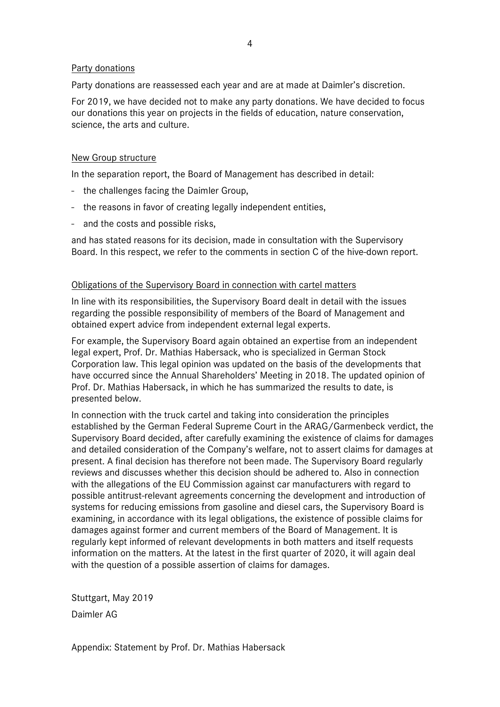## Party donations

Party donations are reassessed each year and are at made at Daimler's discretion.

For 2019, we have decided not to make any party donations. We have decided to focus our donations this year on projects in the fields of education, nature conservation, science, the arts and culture.

## New Group structure

In the separation report, the Board of Management has described in detail:

- the challenges facing the Daimler Group,
- the reasons in favor of creating legally independent entities,
- and the costs and possible risks,

and has stated reasons for its decision, made in consultation with the Supervisory Board. In this respect, we refer to the comments in section C of the hive-down report.

### Obligations of the Supervisory Board in connection with cartel matters

In line with its responsibilities, the Supervisory Board dealt in detail with the issues regarding the possible responsibility of members of the Board of Management and obtained expert advice from independent external legal experts.

For example, the Supervisory Board again obtained an expertise from an independent legal expert, Prof. Dr. Mathias Habersack, who is specialized in German Stock Corporation law. This legal opinion was updated on the basis of the developments that have occurred since the Annual Shareholders' Meeting in 2018. The updated opinion of Prof. Dr. Mathias Habersack, in which he has summarized the results to date, is presented below.

In connection with the truck cartel and taking into consideration the principles established by the German Federal Supreme Court in the ARAG/Garmenbeck verdict, the Supervisory Board decided, after carefully examining the existence of claims for damages and detailed consideration of the Company's welfare, not to assert claims for damages at present. A final decision has therefore not been made. The Supervisory Board regularly reviews and discusses whether this decision should be adhered to. Also in connection with the allegations of the EU Commission against car manufacturers with regard to possible antitrust-relevant agreements concerning the development and introduction of systems for reducing emissions from gasoline and diesel cars, the Supervisory Board is examining, in accordance with its legal obligations, the existence of possible claims for damages against former and current members of the Board of Management. It is regularly kept informed of relevant developments in both matters and itself requests information on the matters. At the latest in the first quarter of 2020, it will again deal with the question of a possible assertion of claims for damages.

Stuttgart, May 2019 Daimler AG

Appendix: Statement by Prof. Dr. Mathias Habersack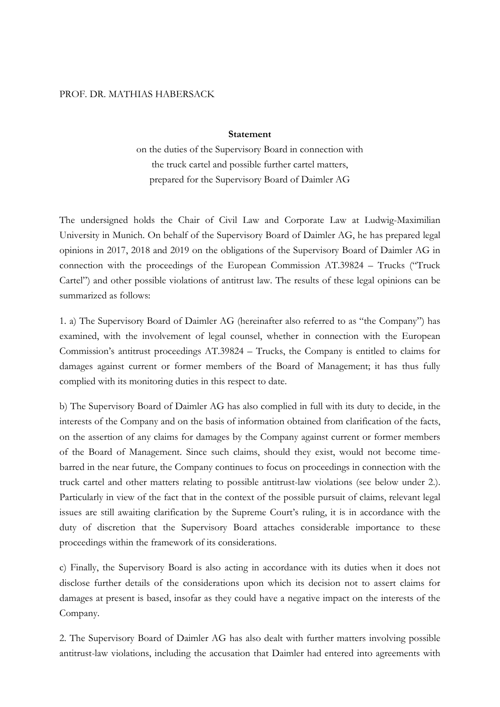#### PROF. DR. MATHIAS HABERSACK

#### **Statement**

on the duties of the Supervisory Board in connection with the truck cartel and possible further cartel matters, prepared for the Supervisory Board of Daimler AG

The undersigned holds the Chair of Civil Law and Corporate Law at Ludwig-Maximilian University in Munich. On behalf of the Supervisory Board of Daimler AG, he has prepared legal opinions in 2017, 2018 and 2019 on the obligations of the Supervisory Board of Daimler AG in connection with the proceedings of the European Commission AT.39824 – Trucks ("Truck Cartel") and other possible violations of antitrust law. The results of these legal opinions can be summarized as follows:

1. a) The Supervisory Board of Daimler AG (hereinafter also referred to as "the Company") has examined, with the involvement of legal counsel, whether in connection with the European Commission's antitrust proceedings AT.39824 – Trucks, the Company is entitled to claims for damages against current or former members of the Board of Management; it has thus fully complied with its monitoring duties in this respect to date.

b) The Supervisory Board of Daimler AG has also complied in full with its duty to decide, in the interests of the Company and on the basis of information obtained from clarification of the facts, on the assertion of any claims for damages by the Company against current or former members of the Board of Management. Since such claims, should they exist, would not become timebarred in the near future, the Company continues to focus on proceedings in connection with the truck cartel and other matters relating to possible antitrust-law violations (see below under 2.). Particularly in view of the fact that in the context of the possible pursuit of claims, relevant legal issues are still awaiting clarification by the Supreme Court's ruling, it is in accordance with the duty of discretion that the Supervisory Board attaches considerable importance to these proceedings within the framework of its considerations.

c) Finally, the Supervisory Board is also acting in accordance with its duties when it does not disclose further details of the considerations upon which its decision not to assert claims for damages at present is based, insofar as they could have a negative impact on the interests of the Company.

2. The Supervisory Board of Daimler AG has also dealt with further matters involving possible antitrust-law violations, including the accusation that Daimler had entered into agreements with